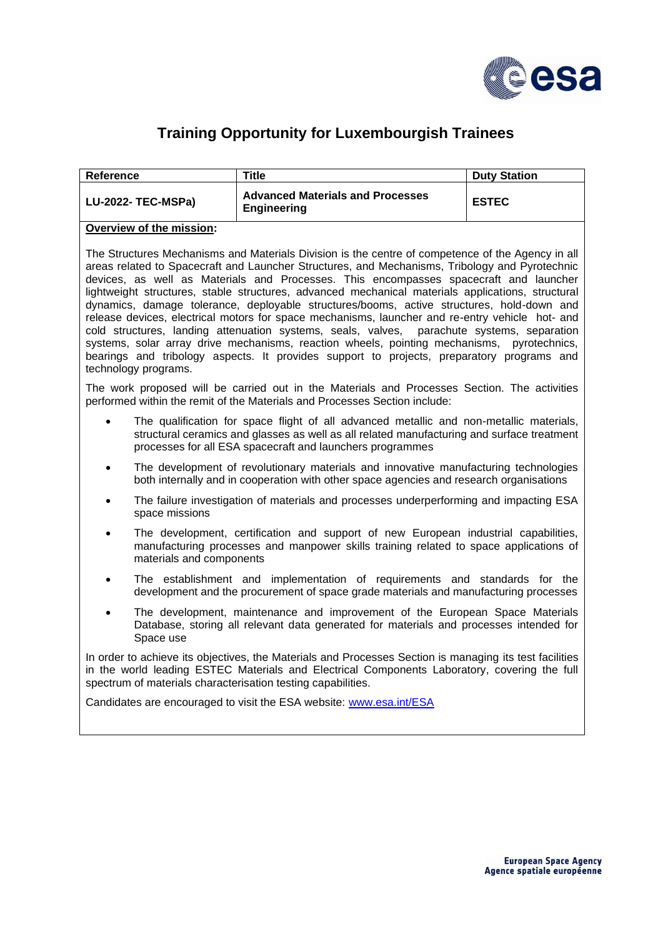

## **Training Opportunity for Luxembourgish Trainees**

| <b>Reference</b>          | Title                                                         | <b>Duty Station</b> |
|---------------------------|---------------------------------------------------------------|---------------------|
| <b>LU-2022- TEC-MSPa)</b> | <b>Advanced Materials and Processes</b><br><b>Engineering</b> | <b>ESTEC</b>        |
| - -                       |                                                               |                     |

## **Overview of the mission:**

The Structures Mechanisms and Materials Division is the centre of competence of the Agency in all areas related to Spacecraft and Launcher Structures, and Mechanisms, Tribology and Pyrotechnic devices, as well as Materials and Processes. This encompasses spacecraft and launcher lightweight structures, stable structures, advanced mechanical materials applications, structural dynamics, damage tolerance, deployable structures/booms, active structures, hold-down and release devices, electrical motors for space mechanisms, launcher and re-entry vehicle hot- and cold structures, landing attenuation systems, seals, valves, parachute systems, separation systems, solar array drive mechanisms, reaction wheels, pointing mechanisms, pyrotechnics, bearings and tribology aspects. It provides support to projects, preparatory programs and technology programs.

The work proposed will be carried out in the Materials and Processes Section. The activities performed within the remit of the Materials and Processes Section include:

- The qualification for space flight of all advanced metallic and non-metallic materials, structural ceramics and glasses as well as all related manufacturing and surface treatment processes for all ESA spacecraft and launchers programmes
- The development of revolutionary materials and innovative manufacturing technologies both internally and in cooperation with other space agencies and research organisations
- The failure investigation of materials and processes underperforming and impacting ESA space missions
- The development, certification and support of new European industrial capabilities, manufacturing processes and manpower skills training related to space applications of materials and components
- The establishment and implementation of requirements and standards for the development and the procurement of space grade materials and manufacturing processes
- The development, maintenance and improvement of the European Space Materials Database, storing all relevant data generated for materials and processes intended for Space use

In order to achieve its objectives, the Materials and Processes Section is managing its test facilities in the world leading ESTEC Materials and Electrical Components Laboratory, covering the full spectrum of materials characterisation testing capabilities.

Candidates are encouraged to visit the ESA website: [www.esa.int/ESA](http://www.esa.int/ESA)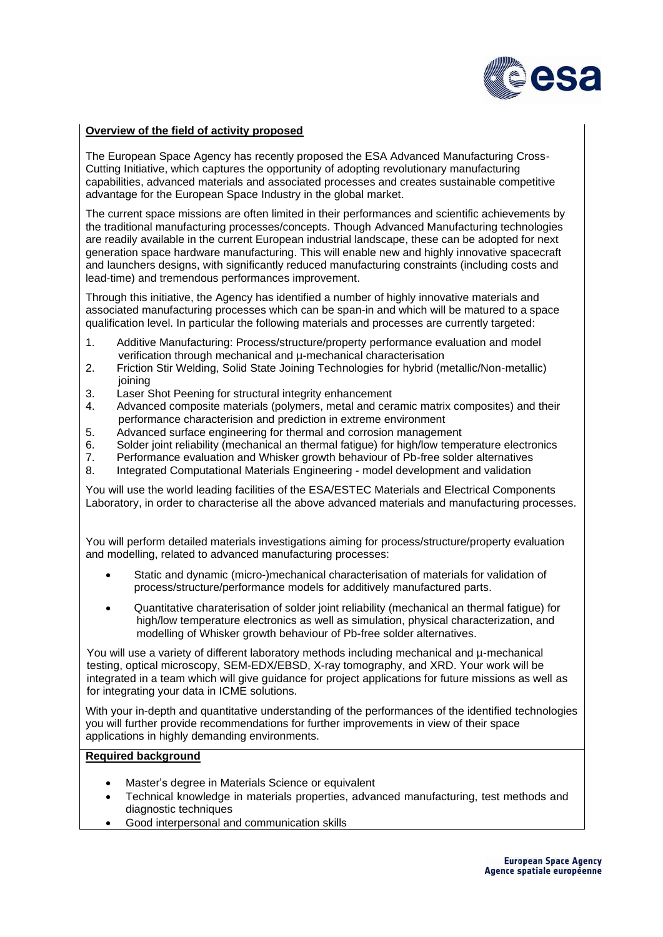

## **Overview of the field of activity proposed**

The European Space Agency has recently proposed the ESA Advanced Manufacturing Cross-Cutting Initiative, which captures the opportunity of adopting revolutionary manufacturing capabilities, advanced materials and associated processes and creates sustainable competitive advantage for the European Space Industry in the global market.

The current space missions are often limited in their performances and scientific achievements by the traditional manufacturing processes/concepts. Though Advanced Manufacturing technologies are readily available in the current European industrial landscape, these can be adopted for next generation space hardware manufacturing. This will enable new and highly innovative spacecraft and launchers designs, with significantly reduced manufacturing constraints (including costs and lead-time) and tremendous performances improvement.

Through this initiative, the Agency has identified a number of highly innovative materials and associated manufacturing processes which can be span-in and which will be matured to a space qualification level. In particular the following materials and processes are currently targeted:

- 1. Additive Manufacturing: Process/structure/property performance evaluation and model verification through mechanical and µ-mechanical characterisation
- 2. Friction Stir Welding, Solid State Joining Technologies for hybrid (metallic/Non-metallic) joining
- 3. Laser Shot Peening for structural integrity enhancement
- 4. Advanced composite materials (polymers, metal and ceramic matrix composites) and their performance characterision and prediction in extreme environment
- 5. Advanced surface engineering for thermal and corrosion management<br>6. Solder ioint reliability (mechanical an thermal fatique) for high/low temp
- 6. Solder joint reliability (mechanical an thermal fatigue) for high/low temperature electronics<br>7. Performance evaluation and Whisker growth behaviour of Pb-free solder alternatives
- 7. Performance evaluation and Whisker growth behaviour of Pb-free solder alternatives
- 8. Integrated Computational Materials Engineering model development and validation

You will use the world leading facilities of the ESA/ESTEC Materials and Electrical Components Laboratory, in order to characterise all the above advanced materials and manufacturing processes.

You will perform detailed materials investigations aiming for process/structure/property evaluation and modelling, related to advanced manufacturing processes:

- Static and dynamic (micro-)mechanical characterisation of materials for validation of process/structure/performance models for additively manufactured parts.
- Quantitative charaterisation of solder joint reliability (mechanical an thermal fatigue) for high/low temperature electronics as well as simulation, physical characterization, and modelling of Whisker growth behaviour of Pb-free solder alternatives.

You will use a variety of different laboratory methods including mechanical and µ-mechanical testing, optical microscopy, SEM-EDX/EBSD, X-ray tomography, and XRD. Your work will be integrated in a team which will give guidance for project applications for future missions as well as for integrating your data in ICME solutions.

With your in-depth and quantitative understanding of the performances of the identified technologies you will further provide recommendations for further improvements in view of their space applications in highly demanding environments.

## **Required background**

- Master's degree in Materials Science or equivalent
- Technical knowledge in materials properties, advanced manufacturing, test methods and diagnostic techniques
- Good interpersonal and communication skills